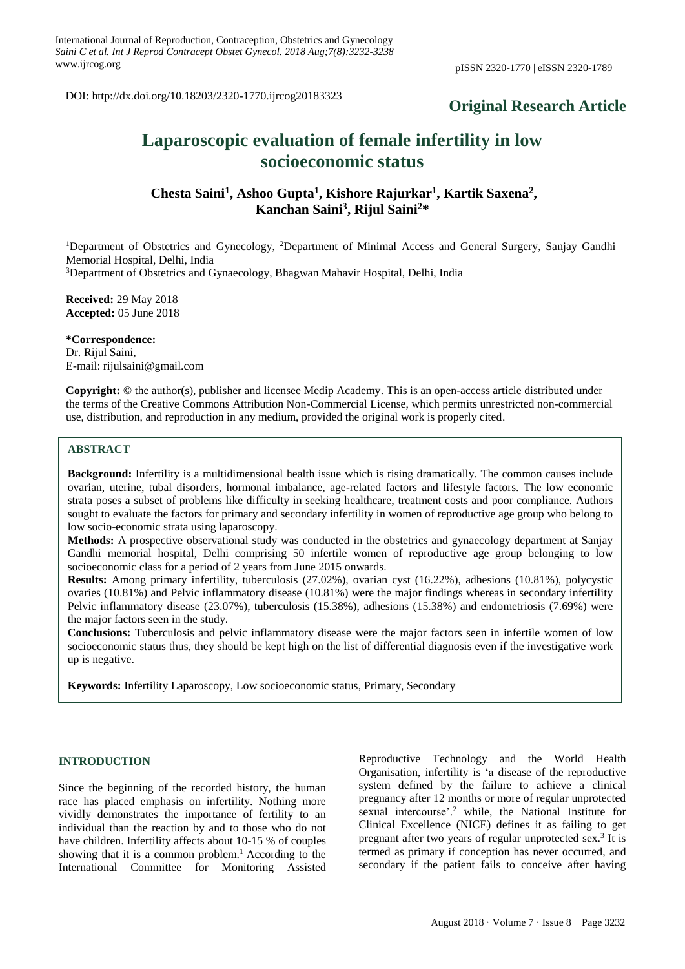DOI: http://dx.doi.org/10.18203/2320-1770.ijrcog20183323

# **Original Research Article**

# **Laparoscopic evaluation of female infertility in low socioeconomic status**

**Chesta Saini<sup>1</sup> , Ashoo Gupta<sup>1</sup> , Kishore Rajurkar<sup>1</sup> , Kartik Saxena<sup>2</sup> , Kanchan Saini<sup>3</sup> , Rijul Saini<sup>2</sup>\***

<sup>1</sup>Department of Obstetrics and Gynecology, <sup>2</sup>Department of Minimal Access and General Surgery, Sanjay Gandhi Memorial Hospital, Delhi, India

<sup>3</sup>Department of Obstetrics and Gynaecology, Bhagwan Mahavir Hospital, Delhi, India

**Received:** 29 May 2018 **Accepted:** 05 June 2018

**\*Correspondence:** Dr. Rijul Saini, E-mail: rijulsaini@gmail.com

**Copyright:** © the author(s), publisher and licensee Medip Academy. This is an open-access article distributed under the terms of the Creative Commons Attribution Non-Commercial License, which permits unrestricted non-commercial use, distribution, and reproduction in any medium, provided the original work is properly cited.

# **ABSTRACT**

**Background:** Infertility is a multidimensional health issue which is rising dramatically. The common causes include ovarian, uterine, tubal disorders, hormonal imbalance, age-related factors and lifestyle factors. The low economic strata poses a subset of problems like difficulty in seeking healthcare, treatment costs and poor compliance. Authors sought to evaluate the factors for primary and secondary infertility in women of reproductive age group who belong to low socio-economic strata using laparoscopy.

**Methods:** A prospective observational study was conducted in the obstetrics and gynaecology department at Sanjay Gandhi memorial hospital, Delhi comprising 50 infertile women of reproductive age group belonging to low socioeconomic class for a period of 2 years from June 2015 onwards.

**Results:** Among primary infertility, tuberculosis (27.02%), ovarian cyst (16.22%), adhesions (10.81%), polycystic ovaries (10.81%) and Pelvic inflammatory disease (10.81%) were the major findings whereas in secondary infertility Pelvic inflammatory disease (23.07%), tuberculosis (15.38%), adhesions (15.38%) and endometriosis (7.69%) were the major factors seen in the study.

**Conclusions:** Tuberculosis and pelvic inflammatory disease were the major factors seen in infertile women of low socioeconomic status thus, they should be kept high on the list of differential diagnosis even if the investigative work up is negative.

**Keywords:** Infertility Laparoscopy, Low socioeconomic status, Primary, Secondary

#### **INTRODUCTION**

Since the beginning of the recorded history, the human race has placed emphasis on infertility. Nothing more vividly demonstrates the importance of fertility to an individual than the reaction by and to those who do not have children. Infertility affects about 10-15 % of couples showing that it is a common problem.<sup>1</sup> According to the International Committee for Monitoring Assisted Reproductive Technology and the World Health Organisation, infertility is 'a disease of the reproductive system defined by the failure to achieve a clinical pregnancy after 12 months or more of regular unprotected sexual intercourse'.<sup>2</sup> while, the National Institute for Clinical Excellence (NICE) defines it as failing to get pregnant after two years of regular unprotected sex.<sup>3</sup> It is termed as primary if conception has never occurred, and secondary if the patient fails to conceive after having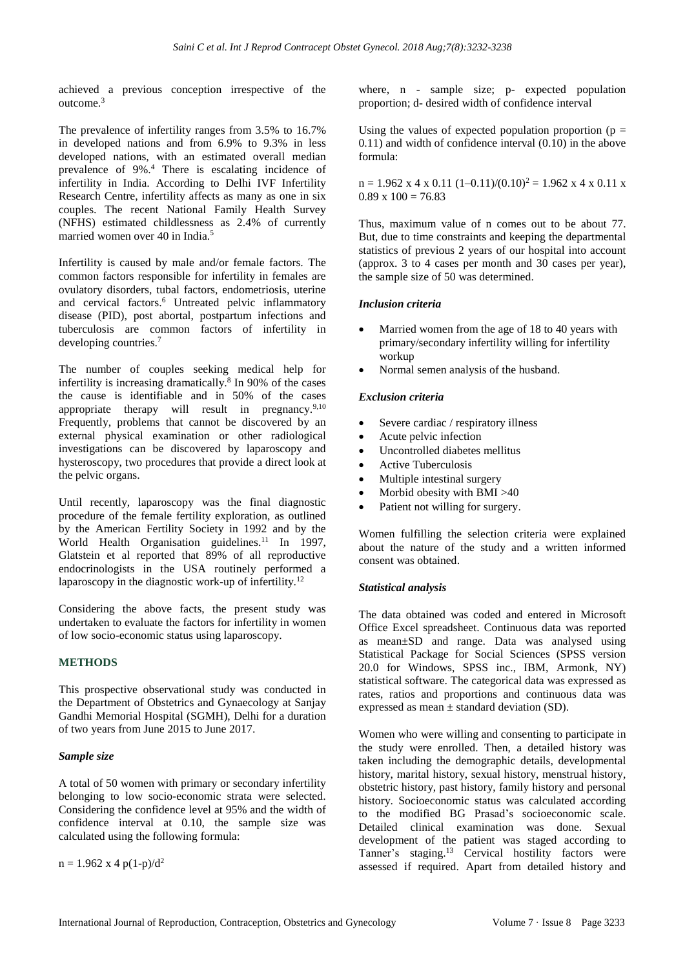achieved a previous conception irrespective of the outcome.<sup>3</sup>

The prevalence of infertility ranges from 3.5% to 16.7% in developed nations and from 6.9% to 9.3% in less developed nations, with an estimated overall median prevalence of 9%.<sup>4</sup> There is escalating incidence of infertility in India. According to Delhi IVF Infertility Research Centre, infertility affects as many as one in six couples. The recent National Family Health Survey (NFHS) estimated childlessness as 2.4% of currently married women over 40 in India.<sup>5</sup>

Infertility is caused by male and/or female factors. The common factors responsible for infertility in females are ovulatory disorders, tubal factors, endometriosis, uterine and cervical factors.<sup>6</sup> Untreated pelvic inflammatory disease (PID), post abortal, postpartum infections and tuberculosis are common factors of infertility in developing countries.<sup>7</sup>

The number of couples seeking medical help for infertility is increasing dramatically.<sup>8</sup> In 90% of the cases the cause is identifiable and in 50% of the cases appropriate therapy will result in pregnancy.<sup>9,10</sup> Frequently, problems that cannot be discovered by an external physical examination or other radiological investigations can be discovered by laparoscopy and hysteroscopy, two procedures that provide a direct look at the pelvic organs.

Until recently, laparoscopy was the final diagnostic procedure of the female fertility exploration, as outlined by the American Fertility Society in 1992 and by the World Health Organisation guidelines.<sup>11</sup> In 1997, Glatstein et al reported that 89% of all reproductive endocrinologists in the USA routinely performed a laparoscopy in the diagnostic work-up of infertility.<sup>12</sup>

Considering the above facts, the present study was undertaken to evaluate the factors for infertility in women of low socio-economic status using laparoscopy.

# **METHODS**

This prospective observational study was conducted in the Department of Obstetrics and Gynaecology at Sanjay Gandhi Memorial Hospital (SGMH), Delhi for a duration of two years from June 2015 to June 2017.

# *Sample size*

A total of 50 women with primary or secondary infertility belonging to low socio-economic strata were selected. Considering the confidence level at 95% and the width of confidence interval at 0.10, the sample size was calculated using the following formula:

 $n = 1.962$  x 4 p(1-p)/d<sup>2</sup>

where, n - sample size; p- expected population proportion; d- desired width of confidence interval

Using the values of expected population proportion ( $p =$ 0.11) and width of confidence interval (0.10) in the above formula:

 $n = 1.962 \times 4 \times 0.11 (1 - 0.11)/(0.10)^2 = 1.962 \times 4 \times 0.11 \times$  $0.89 \times 100 = 76.83$ 

Thus, maximum value of n comes out to be about 77. But, due to time constraints and keeping the departmental statistics of previous 2 years of our hospital into account (approx. 3 to 4 cases per month and 30 cases per year), the sample size of 50 was determined.

# *Inclusion criteria*

- Married women from the age of 18 to 40 years with primary/secondary infertility willing for infertility workup
- Normal semen analysis of the husband.

# *Exclusion criteria*

- Severe cardiac / respiratory illness
- Acute pelvic infection
- Uncontrolled diabetes mellitus
- Active Tuberculosis
- Multiple intestinal surgery
- Morbid obesity with BMI >40
- Patient not willing for surgery.

Women fulfilling the selection criteria were explained about the nature of the study and a written informed consent was obtained.

# *Statistical analysis*

The data obtained was coded and entered in Microsoft Office Excel spreadsheet. Continuous data was reported as mean±SD and range. Data was analysed using Statistical Package for Social Sciences (SPSS version 20.0 for Windows, SPSS inc., IBM, Armonk, NY) statistical software. The categorical data was expressed as rates, ratios and proportions and continuous data was expressed as mean  $\pm$  standard deviation (SD).

Women who were willing and consenting to participate in the study were enrolled. Then, a detailed history was taken including the demographic details, developmental history, marital history, sexual history, menstrual history, obstetric history, past history, family history and personal history. Socioeconomic status was calculated according to the modified BG Prasad's socioeconomic scale. Detailed clinical examination was done. Sexual development of the patient was staged according to Tanner's staging.<sup>13</sup> Cervical hostility factors were assessed if required. Apart from detailed history and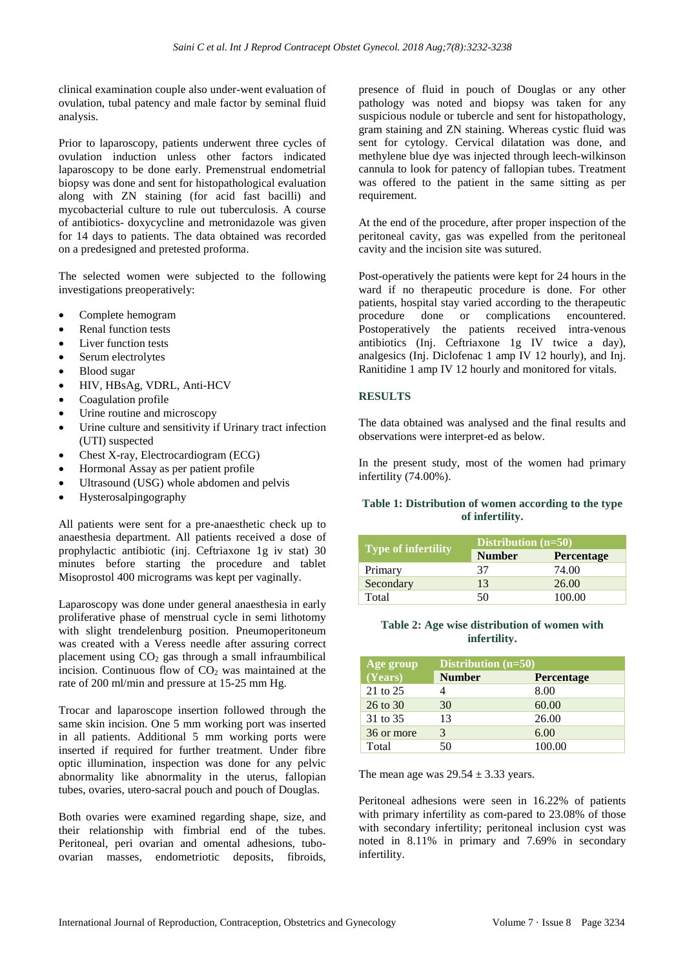clinical examination couple also under-went evaluation of ovulation, tubal patency and male factor by seminal fluid analysis.

Prior to laparoscopy, patients underwent three cycles of ovulation induction unless other factors indicated laparoscopy to be done early. Premenstrual endometrial biopsy was done and sent for histopathological evaluation along with ZN staining (for acid fast bacilli) and mycobacterial culture to rule out tuberculosis. A course of antibiotics- doxycycline and metronidazole was given for 14 days to patients. The data obtained was recorded on a predesigned and pretested proforma.

The selected women were subjected to the following investigations preoperatively:

- Complete hemogram
- Renal function tests
- Liver function tests
- Serum electrolytes
- Blood sugar
- HIV, HBsAg, VDRL, Anti-HCV
- Coagulation profile
- Urine routine and microscopy
- Urine culture and sensitivity if Urinary tract infection (UTI) suspected
- Chest X-ray, Electrocardiogram (ECG)
- Hormonal Assay as per patient profile
- Ultrasound (USG) whole abdomen and pelvis
- Hysterosalpingography

All patients were sent for a pre-anaesthetic check up to anaesthesia department. All patients received a dose of prophylactic antibiotic (inj. Ceftriaxone 1g iv stat) 30 minutes before starting the procedure and tablet Misoprostol 400 micrograms was kept per vaginally.

Laparoscopy was done under general anaesthesia in early proliferative phase of menstrual cycle in semi lithotomy with slight trendelenburg position. Pneumoperitoneum was created with a Veress needle after assuring correct placement using  $CO<sub>2</sub>$  gas through a small infraumbilical incision. Continuous flow of  $CO<sub>2</sub>$  was maintained at the rate of 200 ml/min and pressure at 15-25 mm Hg.

Trocar and laparoscope insertion followed through the same skin incision. One 5 mm working port was inserted in all patients. Additional 5 mm working ports were inserted if required for further treatment. Under fibre optic illumination, inspection was done for any pelvic abnormality like abnormality in the uterus, fallopian tubes, ovaries, utero-sacral pouch and pouch of Douglas.

Both ovaries were examined regarding shape, size, and their relationship with fimbrial end of the tubes. Peritoneal, peri ovarian and omental adhesions, tuboovarian masses, endometriotic deposits, fibroids, presence of fluid in pouch of Douglas or any other pathology was noted and biopsy was taken for any suspicious nodule or tubercle and sent for histopathology, gram staining and ZN staining. Whereas cystic fluid was sent for cytology. Cervical dilatation was done, and methylene blue dye was injected through leech-wilkinson cannula to look for patency of fallopian tubes. Treatment was offered to the patient in the same sitting as per requirement.

At the end of the procedure, after proper inspection of the peritoneal cavity, gas was expelled from the peritoneal cavity and the incision site was sutured.

Post-operatively the patients were kept for 24 hours in the ward if no therapeutic procedure is done. For other patients, hospital stay varied according to the therapeutic procedure done or complications encountered. Postoperatively the patients received intra-venous antibiotics (Inj. Ceftriaxone 1g IV twice a day), analgesics (Inj. Diclofenac 1 amp IV 12 hourly), and Inj. Ranitidine 1 amp IV 12 hourly and monitored for vitals.

# **RESULTS**

The data obtained was analysed and the final results and observations were interpret-ed as below.

In the present study, most of the women had primary infertility (74.00%).

# **Table 1: Distribution of women according to the type of infertility.**

| Type of infertility | Distribution $(n=50)$ |                   |  |
|---------------------|-----------------------|-------------------|--|
|                     | <b>Number</b>         | <b>Percentage</b> |  |
| Primary             | 37                    | 74.00             |  |
| Secondary           | 13                    | 26.00             |  |
| Total               | 50                    | 100.00            |  |

#### **Table 2: Age wise distribution of women with infertility.**

| Age group  | Distribution $(n=50)$ |                   |  |  |
|------------|-----------------------|-------------------|--|--|
| (Years)    | <b>Number</b>         | <b>Percentage</b> |  |  |
| 21 to 25   |                       | 8.00              |  |  |
| 26 to 30   | 30                    | 60.00             |  |  |
| 31 to 35   | 13                    | 26.00             |  |  |
| 36 or more | 3                     | 6.00              |  |  |
| Total      | 50                    | 100.00            |  |  |

The mean age was  $29.54 \pm 3.33$  years.

Peritoneal adhesions were seen in 16.22% of patients with primary infertility as com-pared to 23.08% of those with secondary infertility; peritoneal inclusion cyst was noted in 8.11% in primary and 7.69% in secondary infertility.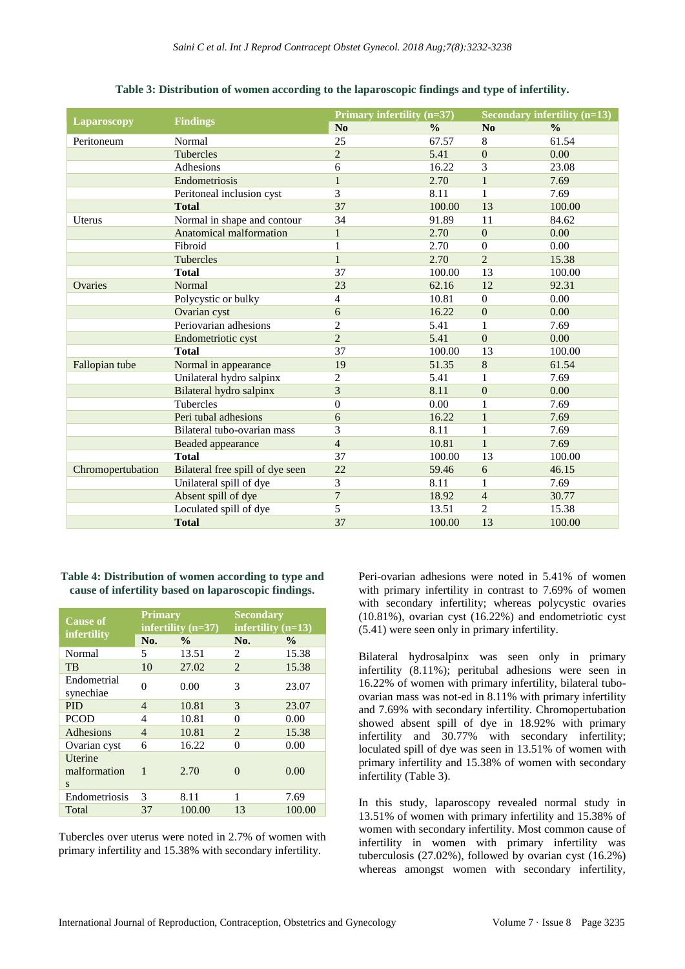|                   | <b>Findings</b>                  |                | Primary infertility (n=37) |                  | <b>Secondary infertility (n=13)</b> |  |
|-------------------|----------------------------------|----------------|----------------------------|------------------|-------------------------------------|--|
| Laparoscopy       |                                  | N <sub>0</sub> | $\frac{0}{0}$              | No               | $\frac{0}{0}$                       |  |
| Peritoneum        | Normal                           | 25             | 67.57                      | $\,8\,$          | 61.54                               |  |
|                   | <b>Tubercles</b>                 | $\overline{c}$ | 5.41                       | $\Omega$         | 0.00                                |  |
|                   | Adhesions                        | 6              | 16.22                      | 3                | 23.08                               |  |
|                   | Endometriosis                    | $\mathbf{1}$   | 2.70                       | $\mathbf{1}$     | 7.69                                |  |
|                   | Peritoneal inclusion cyst        | 3              | 8.11                       | 1                | 7.69                                |  |
|                   | <b>Total</b>                     | 37             | 100.00                     | 13               | 100.00                              |  |
| <b>Uterus</b>     | Normal in shape and contour      | 34             | 91.89                      | 11               | 84.62                               |  |
|                   | Anatomical malformation          | $\mathbf{1}$   | 2.70                       | $\Omega$         | 0.00                                |  |
|                   | Fibroid                          | 1              | 2.70                       | $\boldsymbol{0}$ | 0.00                                |  |
|                   | Tubercles                        | $\mathbf{1}$   | 2.70                       | $\overline{2}$   | 15.38                               |  |
|                   | <b>Total</b>                     | 37             | 100.00                     | 13               | 100.00                              |  |
| Ovaries           | Normal                           | 23             | 62.16                      | 12               | 92.31                               |  |
|                   | Polycystic or bulky              | 4              | 10.81                      | $\Omega$         | 0.00                                |  |
|                   | Ovarian cyst                     | 6              | 16.22                      | $\overline{0}$   | 0.00                                |  |
|                   | Periovarian adhesions            | $\overline{c}$ | 5.41                       | $\mathbf{1}$     | 7.69                                |  |
|                   | Endometriotic cyst               | $\overline{2}$ | 5.41                       | $\Omega$         | 0.00                                |  |
|                   | <b>Total</b>                     | 37             | 100.00                     | 13               | 100.00                              |  |
| Fallopian tube    | Normal in appearance             | 19             | 51.35                      | 8                | 61.54                               |  |
|                   | Unilateral hydro salpinx         | $\overline{2}$ | 5.41                       | 1                | 7.69                                |  |
|                   | Bilateral hydro salpinx          | 3              | 8.11                       | $\overline{0}$   | 0.00                                |  |
|                   | Tubercles                        | $\overline{0}$ | 0.00                       | 1                | 7.69                                |  |
|                   | Peri tubal adhesions             | 6              | 16.22                      | $\mathbf{1}$     | 7.69                                |  |
|                   | Bilateral tubo-ovarian mass      | 3              | 8.11                       | $\mathbf{1}$     | 7.69                                |  |
|                   | Beaded appearance                | $\overline{4}$ | 10.81                      | $\mathbf{1}$     | 7.69                                |  |
|                   | <b>Total</b>                     | 37             | 100.00                     | 13               | 100.00                              |  |
| Chromopertubation | Bilateral free spill of dye seen | 22             | 59.46                      | 6                | 46.15                               |  |
|                   | Unilateral spill of dye          | 3              | 8.11                       | 1                | 7.69                                |  |
|                   | Absent spill of dye              | $\overline{7}$ | 18.92                      | $\overline{4}$   | 30.77                               |  |
|                   | Loculated spill of dye           | 5              | 13.51                      | $\overline{2}$   | 15.38                               |  |
|                   | <b>Total</b>                     | 37             | 100.00                     | 13               | 100.00                              |  |

# **Table 3: Distribution of women according to the laparoscopic findings and type of infertility.**

# **Table 4: Distribution of women according to type and cause of infertility based on laparoscopic findings.**

| <b>Cause of</b>              | <b>Primary</b><br>infertility $(n=37)$ |               | <b>Secondary</b><br>infertility $(n=13)$ |               |
|------------------------------|----------------------------------------|---------------|------------------------------------------|---------------|
| infertility                  | No.                                    | $\frac{0}{0}$ | No.                                      | $\frac{0}{0}$ |
| Normal                       | 5                                      | 13.51         | 2                                        | 15.38         |
| TB                           | 10                                     | 27.02         | $\mathcal{D}_{\mathcal{L}}$              | 15.38         |
| Endometrial<br>synechiae     | 0                                      | 0.00          | 3                                        | 23.07         |
| <b>PID</b>                   | 4                                      | 10.81         | 3                                        | 23.07         |
| <b>PCOD</b>                  | 4                                      | 10.81         | 0                                        | 0.00          |
| Adhesions                    | $\overline{4}$                         | 10.81         | 2                                        | 15.38         |
| Ovarian cyst                 | 6                                      | 16.22         | 0                                        | 0.00          |
| Uterine<br>malformation<br>S | 1                                      | 2.70          | 0                                        | 0.00          |
| Endometriosis                | 3                                      | 8.11          | 1                                        | 7.69          |
| Total                        | 37                                     | 100.00        | 13                                       | 100.00        |

Tubercles over uterus were noted in 2.7% of women with primary infertility and 15.38% with secondary infertility.

Peri-ovarian adhesions were noted in 5.41% of women with primary infertility in contrast to 7.69% of women with secondary infertility; whereas polycystic ovaries (10.81%), ovarian cyst (16.22%) and endometriotic cyst (5.41) were seen only in primary infertility.

Bilateral hydrosalpinx was seen only in primary infertility (8.11%); peritubal adhesions were seen in 16.22% of women with primary infertility, bilateral tuboovarian mass was not-ed in 8.11% with primary infertility and 7.69% with secondary infertility. Chromopertubation showed absent spill of dye in 18.92% with primary infertility and 30.77% with secondary infertility; loculated spill of dye was seen in 13.51% of women with primary infertility and 15.38% of women with secondary infertility (Table 3).

In this study, laparoscopy revealed normal study in 13.51% of women with primary infertility and 15.38% of women with secondary infertility. Most common cause of infertility in women with primary infertility was tuberculosis (27.02%), followed by ovarian cyst (16.2%) whereas amongst women with secondary infertility,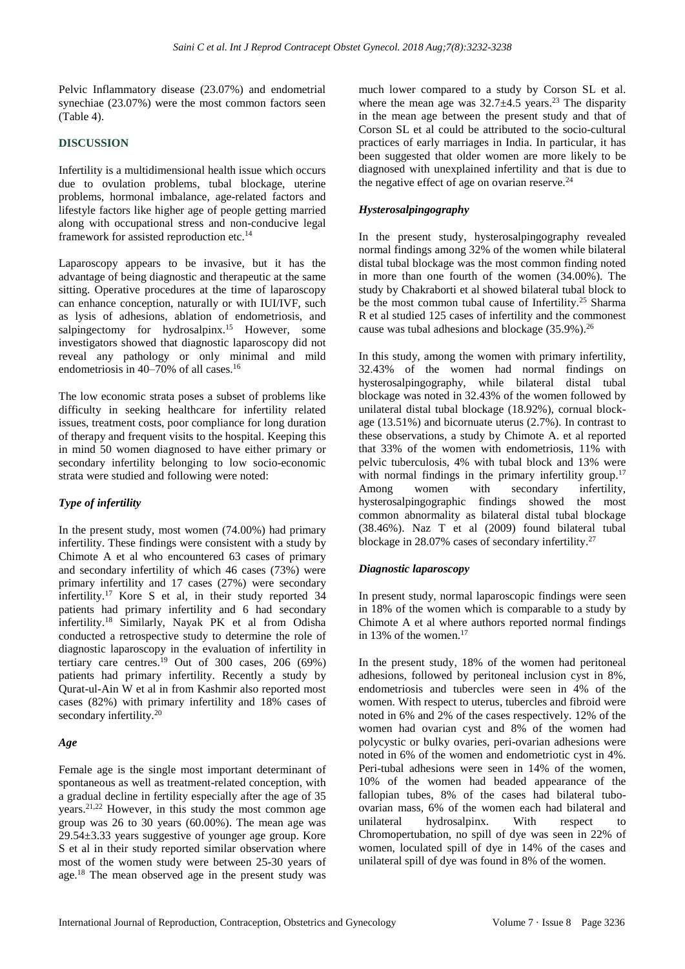Pelvic Inflammatory disease (23.07%) and endometrial synechiae (23.07%) were the most common factors seen (Table 4).

# **DISCUSSION**

Infertility is a multidimensional health issue which occurs due to ovulation problems, tubal blockage, uterine problems, hormonal imbalance, age-related factors and lifestyle factors like higher age of people getting married along with occupational stress and non-conducive legal framework for assisted reproduction etc.<sup>14</sup>

Laparoscopy appears to be invasive, but it has the advantage of being diagnostic and therapeutic at the same sitting. Operative procedures at the time of laparoscopy can enhance conception, naturally or with IUI/IVF, such as lysis of adhesions, ablation of endometriosis, and salpingectomy for hydrosalpinx.<sup>15</sup> However, some investigators showed that diagnostic laparoscopy did not reveal any pathology or only minimal and mild endometriosis in 40–70% of all cases.<sup>16</sup>

The low economic strata poses a subset of problems like difficulty in seeking healthcare for infertility related issues, treatment costs, poor compliance for long duration of therapy and frequent visits to the hospital. Keeping this in mind 50 women diagnosed to have either primary or secondary infertility belonging to low socio-economic strata were studied and following were noted:

# *Type of infertility*

In the present study, most women (74.00%) had primary infertility. These findings were consistent with a study by Chimote A et al who encountered 63 cases of primary and secondary infertility of which 46 cases (73%) were primary infertility and 17 cases (27%) were secondary infertility.<sup>17</sup> Kore S et al, in their study reported 34 patients had primary infertility and 6 had secondary infertility.<sup>18</sup> Similarly, Nayak PK et al from Odisha conducted a retrospective study to determine the role of diagnostic laparoscopy in the evaluation of infertility in tertiary care centres.<sup>19</sup> Out of 300 cases, 206 (69%) patients had primary infertility. Recently a study by Qurat-ul-Ain W et al in from Kashmir also reported most cases (82%) with primary infertility and 18% cases of secondary infertility.<sup>20</sup>

# *Age*

Female age is the single most important determinant of spontaneous as well as treatment-related conception, with a gradual decline in fertility especially after the age of 35 years. $2^{1,22}$  However, in this study the most common age group was 26 to 30 years (60.00%). The mean age was 29.54±3.33 years suggestive of younger age group. Kore S et al in their study reported similar observation where most of the women study were between 25-30 years of age.<sup>18</sup> The mean observed age in the present study was much lower compared to a study by Corson SL et al. where the mean age was  $32.7 \pm 4.5$  years.<sup>23</sup> The disparity in the mean age between the present study and that of Corson SL et al could be attributed to the socio-cultural practices of early marriages in India. In particular, it has been suggested that older women are more likely to be diagnosed with unexplained infertility and that is due to the negative effect of age on ovarian reserve.<sup>24</sup>

# *Hysterosalpingography*

In the present study, hysterosalpingography revealed normal findings among 32% of the women while bilateral distal tubal blockage was the most common finding noted in more than one fourth of the women (34.00%). The study by Chakraborti et al showed bilateral tubal block to be the most common tubal cause of Infertility.<sup>25</sup> Sharma R et al studied 125 cases of infertility and the commonest cause was tubal adhesions and blockage (35.9%).<sup>26</sup>

In this study, among the women with primary infertility, 32.43% of the women had normal findings on hysterosalpingography, while bilateral distal tubal blockage was noted in 32.43% of the women followed by unilateral distal tubal blockage (18.92%), cornual blockage (13.51%) and bicornuate uterus (2.7%). In contrast to these observations, a study by Chimote A. et al reported that 33% of the women with endometriosis, 11% with pelvic tuberculosis, 4% with tubal block and 13% were with normal findings in the primary infertility group.<sup>17</sup> Among women with secondary infertility, hysterosalpingographic findings showed the most common abnormality as bilateral distal tubal blockage (38.46%). Naz T et al (2009) found bilateral tubal blockage in 28.07% cases of secondary infertility.<sup>27</sup>

# *Diagnostic laparoscopy*

In present study, normal laparoscopic findings were seen in 18% of the women which is comparable to a study by Chimote A et al where authors reported normal findings in 13% of the women.<sup>17</sup>

In the present study, 18% of the women had peritoneal adhesions, followed by peritoneal inclusion cyst in 8%, endometriosis and tubercles were seen in 4% of the women. With respect to uterus, tubercles and fibroid were noted in 6% and 2% of the cases respectively. 12% of the women had ovarian cyst and 8% of the women had polycystic or bulky ovaries, peri-ovarian adhesions were noted in 6% of the women and endometriotic cyst in 4%. Peri-tubal adhesions were seen in 14% of the women, 10% of the women had beaded appearance of the fallopian tubes, 8% of the cases had bilateral tuboovarian mass, 6% of the women each had bilateral and unilateral hydrosalpinx. With respect to Chromopertubation, no spill of dye was seen in 22% of women, loculated spill of dye in 14% of the cases and unilateral spill of dye was found in 8% of the women.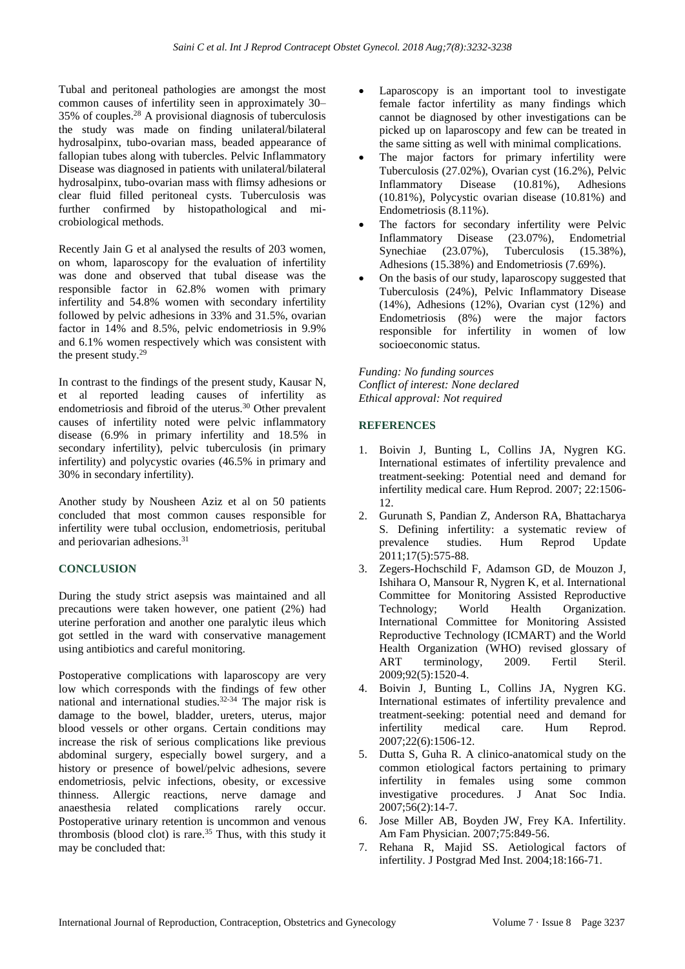Tubal and peritoneal pathologies are amongst the most common causes of infertility seen in approximately 30– 35% of couples.<sup>28</sup> A provisional diagnosis of tuberculosis the study was made on finding unilateral/bilateral hydrosalpinx, tubo-ovarian mass, beaded appearance of fallopian tubes along with tubercles. Pelvic Inflammatory Disease was diagnosed in patients with unilateral/bilateral hydrosalpinx, tubo-ovarian mass with flimsy adhesions or clear fluid filled peritoneal cysts. Tuberculosis was further confirmed by histopathological and microbiological methods.

Recently Jain G et al analysed the results of 203 women, on whom, laparoscopy for the evaluation of infertility was done and observed that tubal disease was the responsible factor in 62.8% women with primary infertility and 54.8% women with secondary infertility followed by pelvic adhesions in 33% and 31.5%, ovarian factor in 14% and 8.5%, pelvic endometriosis in 9.9% and 6.1% women respectively which was consistent with the present study.<sup>29</sup>

In contrast to the findings of the present study, Kausar N, et al reported leading causes of infertility as endometriosis and fibroid of the uterus.<sup>30</sup> Other prevalent causes of infertility noted were pelvic inflammatory disease (6.9% in primary infertility and 18.5% in secondary infertility), pelvic tuberculosis (in primary infertility) and polycystic ovaries (46.5% in primary and 30% in secondary infertility).

Another study by Nousheen Aziz et al on 50 patients concluded that most common causes responsible for infertility were tubal occlusion, endometriosis, peritubal and periovarian adhesions.<sup>31</sup>

# **CONCLUSION**

During the study strict asepsis was maintained and all precautions were taken however, one patient (2%) had uterine perforation and another one paralytic ileus which got settled in the ward with conservative management using antibiotics and careful monitoring.

Postoperative complications with laparoscopy are very low which corresponds with the findings of few other national and international studies.32-34 The major risk is damage to the bowel, bladder, ureters, uterus, major blood vessels or other organs. Certain conditions may increase the risk of serious complications like previous abdominal surgery, especially bowel surgery, and a history or presence of bowel/pelvic adhesions, severe endometriosis, pelvic infections, obesity, or excessive thinness. Allergic reactions, nerve damage and anaesthesia related complications rarely occur. Postoperative urinary retention is uncommon and venous thrombosis (blood clot) is rare.<sup>35</sup> Thus, with this study it may be concluded that:

- Laparoscopy is an important tool to investigate female factor infertility as many findings which cannot be diagnosed by other investigations can be picked up on laparoscopy and few can be treated in the same sitting as well with minimal complications.
- The major factors for primary infertility were Tuberculosis (27.02%), Ovarian cyst (16.2%), Pelvic Inflammatory Disease (10.81%), Adhesions (10.81%), Polycystic ovarian disease (10.81%) and Endometriosis (8.11%).
- The factors for secondary infertility were Pelvic Inflammatory Disease (23.07%), Endometrial Synechiae (23.07%), Tuberculosis (15.38%), Adhesions (15.38%) and Endometriosis (7.69%).
- On the basis of our study, laparoscopy suggested that Tuberculosis (24%), Pelvic Inflammatory Disease (14%), Adhesions (12%), Ovarian cyst (12%) and Endometriosis (8%) were the major factors responsible for infertility in women of low socioeconomic status.

*Funding: No funding sources Conflict of interest: None declared Ethical approval: Not required*

#### **REFERENCES**

- 1. Boivin J, Bunting L, Collins JA, Nygren KG. International estimates of infertility prevalence and treatment-seeking: Potential need and demand for infertility medical care. Hum Reprod. 2007; 22:1506- 12.
- 2. Gurunath S, Pandian Z, Anderson RA, Bhattacharya S. Defining infertility: a systematic review of prevalence studies. Hum Reprod Update 2011;17(5):575-88.
- 3. Zegers-Hochschild F, Adamson GD, de Mouzon J, Ishihara O, Mansour R, Nygren K, et al. International Committee for Monitoring Assisted Reproductive Technology; World Health Organization. International Committee for Monitoring Assisted Reproductive Technology (ICMART) and the World Health Organization (WHO) revised glossary of ART terminology, 2009. Fertil Steril. 2009;92(5):1520-4.
- 4. Boivin J, Bunting L, Collins JA, Nygren KG. International estimates of infertility prevalence and treatment-seeking: potential need and demand for infertility medical care. Hum Reprod. 2007;22(6):1506-12.
- 5. Dutta S, Guha R. A clinico-anatomical study on the common etiological factors pertaining to primary infertility in females using some common investigative procedures. J Anat Soc India. 2007;56(2):14-7.
- 6. Jose Miller AB, Boyden JW, Frey KA. Infertility. Am Fam Physician. 2007;75:849-56.
- 7. Rehana R, Majid SS. Aetiological factors of infertility. J Postgrad Med Inst. 2004;18:166-71.